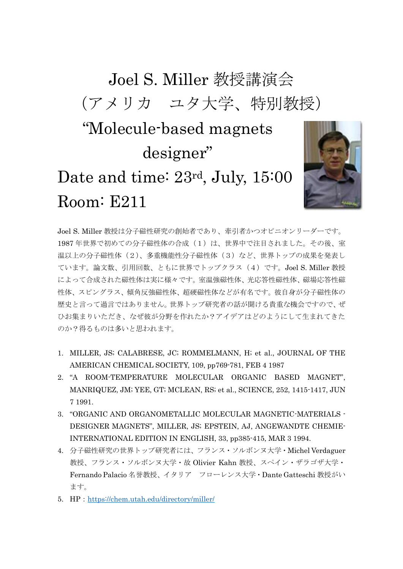## Joel S. Miller 教授講演会 (アメリカ ユタ大学、特別教授) "Molecule-based magnets designer" Date and time: 23rd, July, 15:00 Room: E211



Joel S. Miller 教授は分子磁性研究の創始者であり、牽引者かつオピニオンリーダーです。 1987年世界で初めての分子磁性体の合成(1)は、世界中で注目されました。その後、室 温以上の分子磁性体(2)、多重機能性分子磁性体(3)など、世界トップの成果を発表し ています。論文数、引用回数、ともに世界でトップクラス(4)です。Joel S. Miller 教授 によって合成された磁性体は実に様々です。室温強磁性体、光応答性磁性体、磁場応答性磁 性体、スピングラス、傾角反強磁性体、超硬磁性体などが有名です。彼自身が分子磁性体の 歴史と言って過言ではありません。世界トップ研究者の話が聞ける貴重な機会ですので、ぜ ひお集まりいただき、なぜ彼が分野を作れたか?アイデアはどのようにして生まれてきた のか?得るものは多いと思われます。

- 1. MILLER, JS; CALABRESE, JC; ROMMELMANN, H; et al., JOURNAL OF THE AMERICAN CHEMICAL SOCIETY, 109, pp769-781, FEB 4 1987
- 2. "A ROOM-TEMPERATURE MOLECULAR ORGANIC BASED MAGNET", MANRIQUEZ, JM; YEE, GT; MCLEAN, RS; et al., SCIENCE, 252, 1415-1417, JUN 7 1991.
- 3. "ORGANIC AND ORGANOMETALLIC MOLECULAR MAGNETIC-MATERIALS DESIGNER MAGNETS", MILLER, JS; EPSTEIN, AJ, ANGEWANDTE CHEMIE-INTERNATIONAL EDITION IN ENGLISH, 33, pp385-415, MAR 3 1994.
- 4. 分子磁性研究の世界トップ研究者には、フランス・ソルボンヌ大学・Michel Verdaguer 教授、フランス・ソルボンヌ大学・故 Olivier Kahn 教授、スペイン・ザラゴザ大学・ Fernando Palacio 名誉教授、イタリア フローレンス大学・Dante Gatteschi 教授がい ます。
- 5. HP:<https://chem.utah.edu/directory/miller/>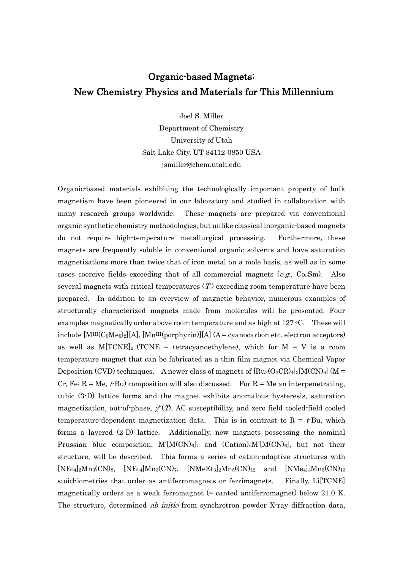## Organic-based Magnets: New Chemistry Physics and Materials for This Millennium

Joel S. Miller Department of Chemistry

University of Utah Salt Lake City, UT 84112-0850 USA jsmiller@chem.utah.edu

Organic-based materials exhibiting the technologically important property of bulk magnetism have been pioneered in our laboratory and studied in collaboration with many research groups worldwide. These magnets are prepared via conventional organic synthetic chemistry methodologies, but unlike classical inorganic-based magnets do not require high-temperature metallurgical processing. Furthermore, these magnets are frequently soluble in conventional organic solvents and have saturation magnetizations more than twice that of iron metal on a mole basis, as well as in some cases coercive fields exceeding that of all commercial magnets  $(e.g., \text{Co}_5\text{Sm})$ . Also several magnets with critical temperatures  $(T_c)$  exceeding room temperature have been prepared. In addition to an overview of magnetic behavior, numerous examples of structurally characterized magnets made from molecules will be presented. Four examples magnetically order above room temperature and as high at  $127 \text{ °C}$ . These will include  $[M<sup>III</sup>(C<sub>5</sub>Me<sub>5</sub>)<sub>2</sub>][A]$ ,  $[M<sup>III</sup>(porphyrin)][A] (A = cyanocarbon etc. electron acceptors)$ as well as  $M[TCNE]_{x}$  (TCNE = tetracyanoethylene), which for  $M = V$  is a room temperature magnet that can be fabricated as a thin film magnet via Chemical Vapor Deposition (CVD) techniques. A newer class of magnets of  $\text{Ru}_2(\text{O}_2\text{CR})_4_3[\text{M(CN)}_6]$  (M = Cr, Fe;  $R = Me$ ,  $t$ -Bu) composition will also discussed. For  $R = Me$  an interpenetrating, cubic (3-D) lattice forms and the magnet exhibits anomalous hysteresis, saturation magnetization, out-of-phase,  $\chi''(T)$ , AC susceptibility, and zero field cooled-field cooled temperature-dependent magnetization data. This is in contrast to  $R = t$ -Bu, which forms a layered (2-D) lattice. Additionally, new magnets possessing the nominal Prussian blue composition,  $M'[M(CN)_6]_x$  and  $(Cation)_yM'[M(CN)_6]$ , but not their structure, will be described. This forms a series of cation-adaptive structures with  $[NEt_4]_2Mn_3(CN)_8$ ,  $[NEt_4]Mn_3(CN)_7$ ,  $[NMeEt_3]_2Mn_5(CN)_{12}$  and  $[NMe_4]_3Mn_5(CN)_{13}$ stoichiometries that order as antiferromagnets or ferrimagnets. Finally, Li[TCNE] magnetically orders as a weak ferromagnet  $(=$  canted antiferromagnet) below 21.0 K. The structure, determined *ab initio* from synchrotron powder X-ray diffraction data,